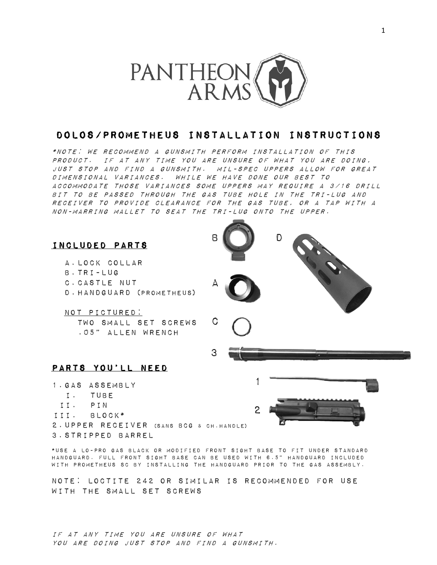

## Dolos/Prometheus Installation Instructions

\*Note: we recommend a gunsmith perform installation of this product. If at any time you are unsure of what you are doing, just stop and find a gunsmith. Mil-spec uppers allow for great dimensional variances. While we have done our best to accommodate those variances some uppers may require a 3/16 drill bit to be passed through the gas tube hole in the tri-lug and receiver to provide clearance for the gas tube, or a tap with a non-marring mallet to seat the tri-lug onto the upper.



2.Upper receiver (sans BCG & ch.handle) 3.Stripped barrel

\*use a lo-pro gas black or modified front sight base to fit under standard handguard. Full front sight base can be used with 6.5" handguard included with Prometheus SC by installing the handguard prior to the gas assembly.

Note: Loctite 242 or similar is recommended for use with the small set screws



If at any time you are unsure of what you are doing just stop and find a gunsmith.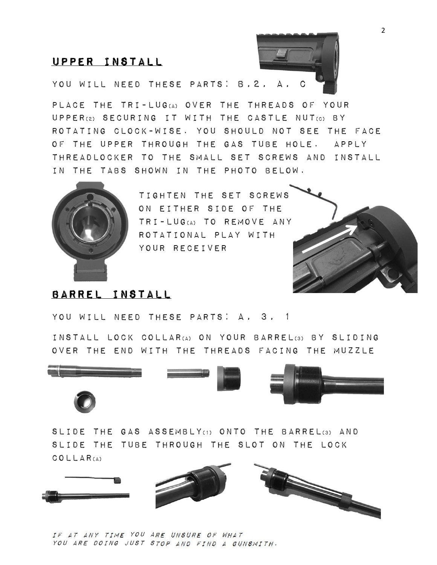# upper install



You will need these parts: b,2, a, C

Place the tri-lug(a) over the threads of your upper(2) securing it with the castle nut(c) by rotating clock-wise. You should not see the face of the upper through the gas tube hole. Apply threadlocker to the small set screws and install in the tabs shown in the photo below.



tighten the set screws on either side of the tri-lug(a) to remove any rotational play with your receiver



## Barrel install

You will need these parts: a, 3, 1

Install lock collar(a) on your barrel(3) by sliding over the end with the threads facing the muzzle







slide the gas assembly(1) onto the barrel(3) and slide the tube through the slot on the lock collar(A)





If at any time you are unsure of what you are doing just stop and find a gunsmith.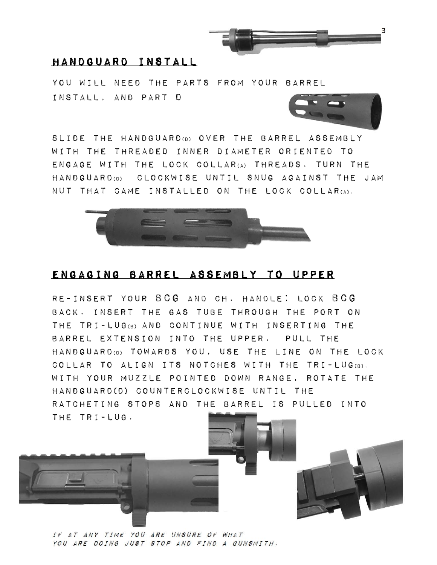

### Handguard install

YOU WILL NEED THE PARTS FROM YOUR BARREL install, and part D



slide the handguard(d) over the barrel assembly with the threaded inner diameter oriented to engage with the lock collar(A) threads. Turn the handguard(d) clockwise until snug against the jam nut that came installed on the lock collar(A).



## Engaging barrel assembly to upper

re-insert your BCG and ch. Handle; lock bcg back. Insert the gas tube through the port on the tri-lug(b) and continue with inserting the barrel extension into the upper. Pull the handguard(D) towards you, use the line on the lock collar to align its notches with the tri-lug(b). with your muzzle pointed down range, rotate the handguard(D) counterclockwise until the ratcheting stops and the barrel is pulled into the tri-lug.



If at any time you are unsure of what you are doing just stop and find a gunsmith.